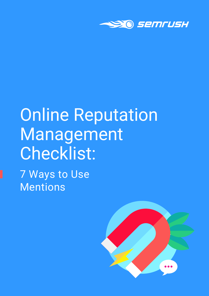

# Online Reputation Management Checklist:

7 Ways to Use Mentions